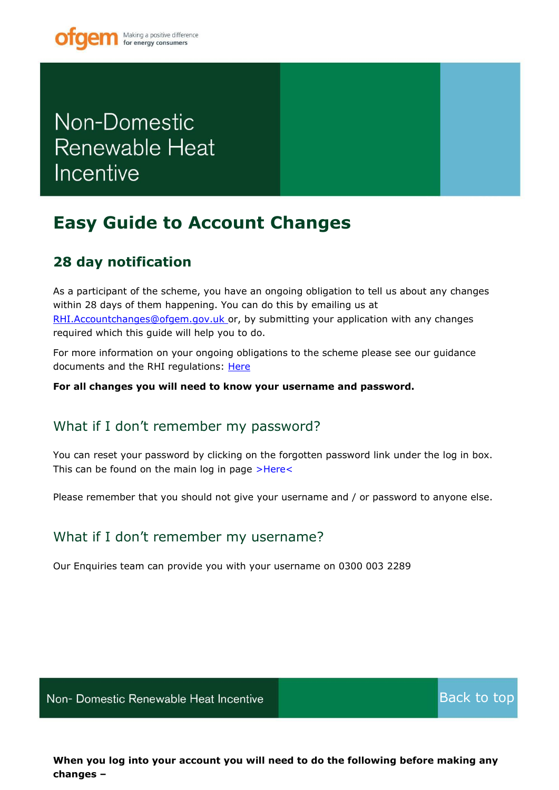# Non-Domestic **Renewable Heat** Incentive

## <span id="page-0-0"></span>**Easy Guide to Account Changes**

### **28 day notification**

As a participant of the scheme, you have an ongoing obligation to tell us about any changes within 28 days of them happening. You can do this by emailing us at [RHI.Accountchanges@ofgem.gov.uk o](mailto:RHI.Accountchanges@ofgem.gov.uk)r, by submitting your application with any changes required which this guide will help you to do.

For more information on your ongoing obligations to the scheme please see our guidance documents and the RHI regulations: [Here](https://www.ofgem.gov.uk/publications-and-updates/non-domestic-rhi-main-guidance)

**For all changes you will need to know your username and password.**

#### What if I don't remember my password?

You can reset your password by clicking on the forgotten password link under the log in box. This can be found on the main log in page [>Here<](https://rhi.ofgem.gov.uk/)

Please remember that you should not give your username and / or password to anyone else.

### What if I don't remember my username?

Our Enquiries team can provide you with your username on 0300 003 2289

Non- Domestic Renewable Heat Incentive

[Back to top](#page-0-0)

**XXX August 2018-01** 

**When you log into your account you will need to do the following before making any changes –**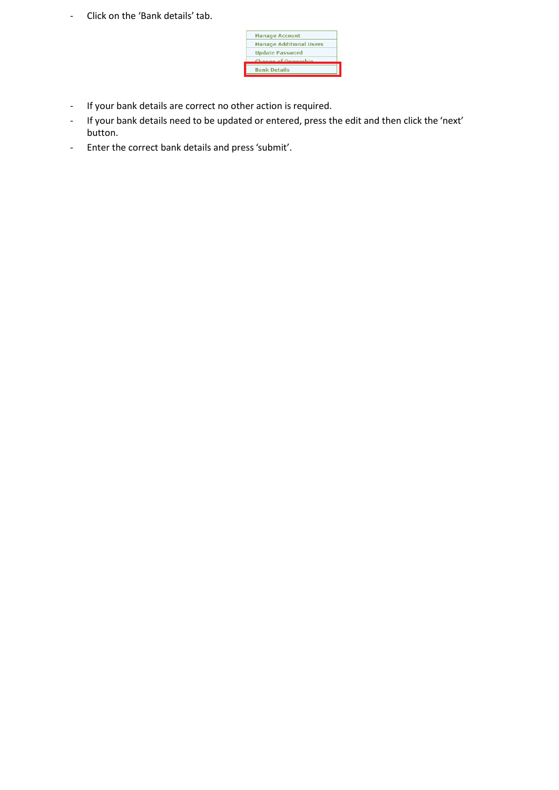- Click on the 'Bank details' tab.



- If your bank details are correct no other action is required.
- If your bank details need to be updated or entered, press the edit and then click the 'next' button.
- Enter the correct bank details and press'submit'.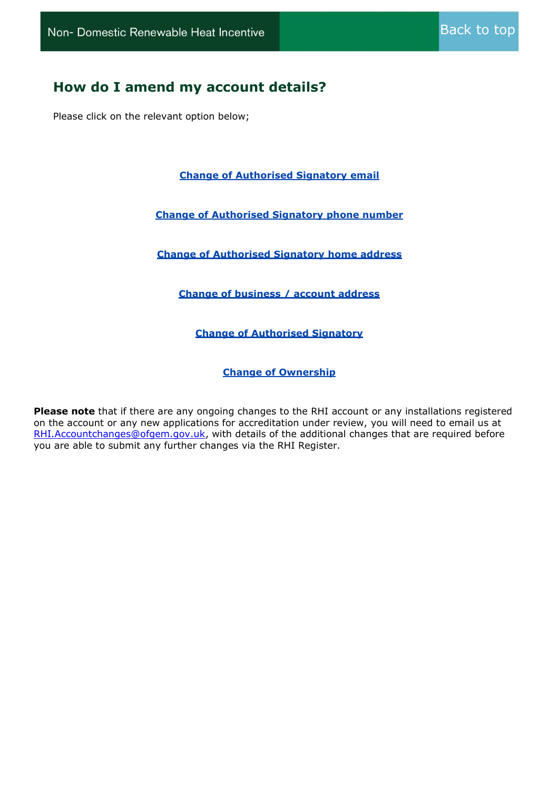#### **How do I amend my account details?**

Please click on the relevant option below;

**Change of [Authorised Signatory](#page-3-0) email**

**[Change of Authorised Signatory phone number](#page-5-0)**

**[Change of Authorised Signatory home address](#page-7-0)**

**[Change of business / account address](#page-9-0)**

**[Change of Authorised Signatory](#page-10-0)**

**[Change of Ownership](#page-12-0)**

**Please note** that if there are any ongoing changes to the RHI account or any installations registered on the account or any new applications for accreditation under review, you will need to email us at [RHI.Accountchanges@ofgem.gov.uk,](mailto:RHI.Accountchanges@ofgem.gov.uk) with details of the additional changes that are required before you are able to submit any further changes via the RHI Register.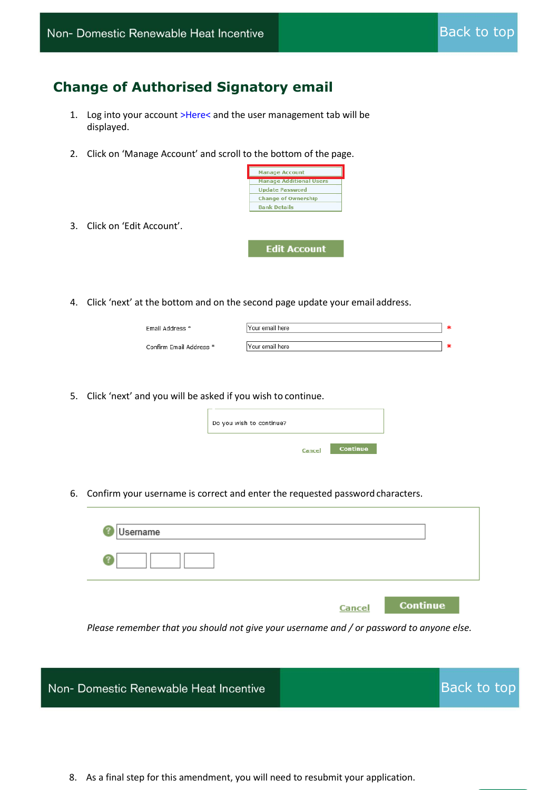### <span id="page-3-0"></span>**Change of Authorised Signatory email**

- 1. Log into your account [>Here<](https://rhi.ofgem.gov.uk/) and the user management tab will be displayed.
- 2. Click on 'Manage Account' and scroll to the bottom of the page.



**Edit Account** 

- 3. Click on 'Edit Account'.
- 4. Click 'next' at the bottom and on the second page update your email address.

| Email Address *         | Your email here |  |
|-------------------------|-----------------|--|
| Confirm Email Address * | Your email here |  |

5. Click 'next' and you will be asked if you wish to continue.

| Do you wish to continue? |        |                 |
|--------------------------|--------|-----------------|
|                          | Cancel | <b>Continue</b> |

6. Confirm your username is correct and enter the requested passwordcharacters.

| Username |        |          |
|----------|--------|----------|
|          |        |          |
|          | Cancel | Continue |

*Please remember that you should not give your username and / or password to anyone else.*



8. As a final step for this amendment, you will need to resubmit your application.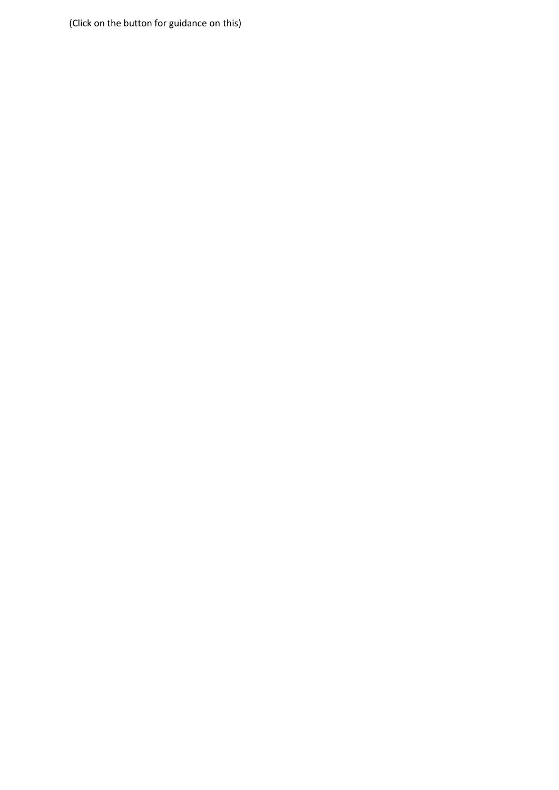(Click on the button for guidance on this)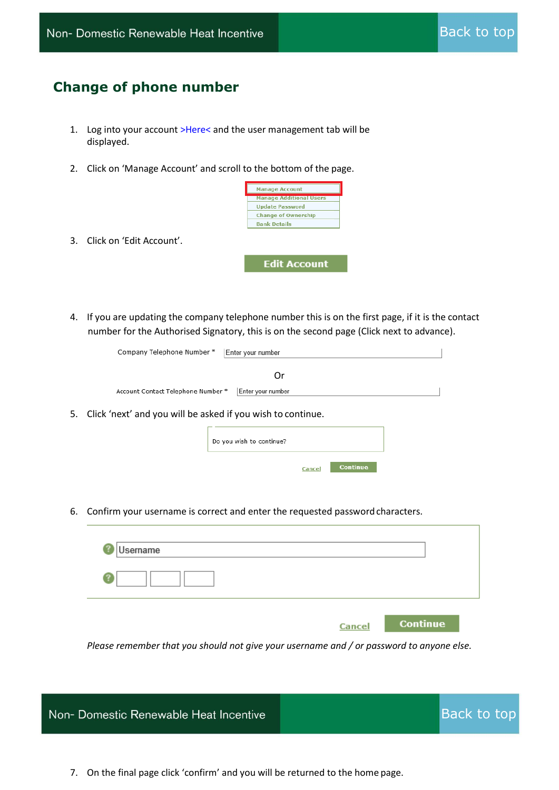#### <span id="page-5-0"></span>**Change of phone number**

- 1. Log into your account [>Here<](https://rhi.ofgem.gov.uk/) and the user management tab will be displayed.
- 2. Click on 'Manage Account' and scroll to the bottom of the page.



3. Click on 'Edit Account'.

**Edit Account** 

4. If you are updating the company telephone number this is on the first page, if it is the contact number for the Authorised Signatory, this is on the second page (Click next to advance).

| Company Telephone Number *                                     | Enter your number         |  |
|----------------------------------------------------------------|---------------------------|--|
|                                                                | Or                        |  |
| Account Contact Telephone Number *                             | Enter your number         |  |
| 5. Click 'next' and you will be asked if you wish to continue. |                           |  |
|                                                                | Do you wish to continue?  |  |
|                                                                | <b>Continue</b><br>Cancel |  |
|                                                                |                           |  |

6. Confirm your username is correct and enter the requested passwordcharacters.

| Username |                           |
|----------|---------------------------|
|          |                           |
|          |                           |
|          | <b>Continue</b><br>Cancel |

*Please remember that you should not give your username and / or password to anyone else.*



7. On the final page click 'confirm' and you will be returned to the home page.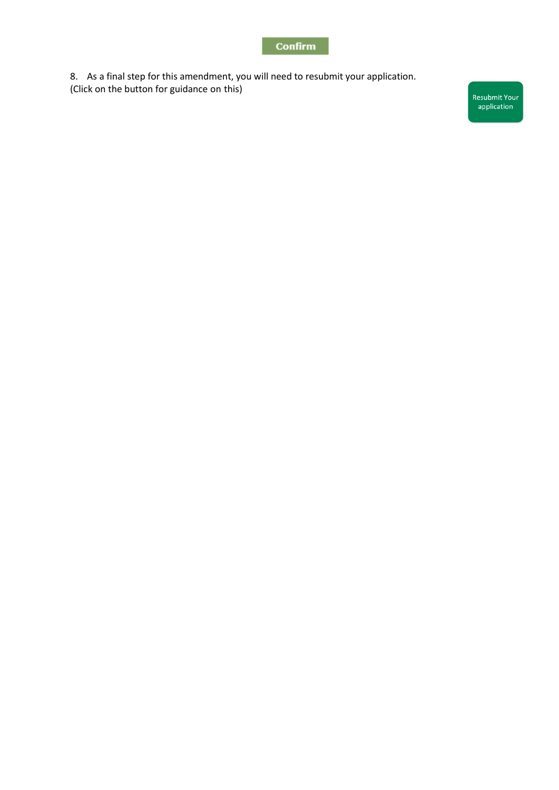#### **Confirm**

8. As a final step for this amendment, you will need to resubmit your application. (Click on the button for guidance on this)

Resubmit Your<br>application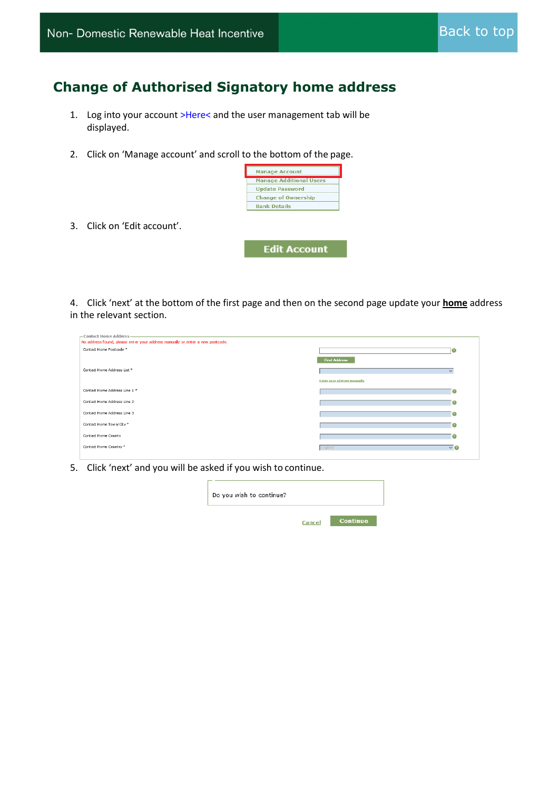### <span id="page-7-0"></span>**Change of Authorised Signatory home address**

- 1. Log into your account [>Here<](https://rhi.ofgem.gov.uk/) and the user management tab will be displayed.
- 2. Click on 'Manage account' and scroll to the bottom of the page.



**Edit Account** 

3. Click on 'Edit account'.

4. Click 'next' at the bottom of the first page and then on the second page update your **home** address in the relevant section.

| - Contact Home Address<br>No address found, please enter your address manually or enter a new postcode. |                                    |                   |
|---------------------------------------------------------------------------------------------------------|------------------------------------|-------------------|
| Contact Home Postcode *                                                                                 |                                    | $\mathcal{C}$     |
|                                                                                                         | <b>Find Address</b>                |                   |
| Contact Home Address List *                                                                             |                                    | $\checkmark$      |
|                                                                                                         | <b>Enter your address manually</b> |                   |
| Contact Home Address Line 1 *                                                                           |                                    | $\circ$           |
| Contact Home Address Line 2                                                                             |                                    | $\circ$           |
| Contact Home Address Line 3                                                                             |                                    | $\circ$           |
| Contact Home Town/City *                                                                                |                                    | $\left( 2\right)$ |
| Contact Home County                                                                                     |                                    | $\circ$           |
| Contact Home Country *                                                                                  | England                            | $\vee$ 0          |

5. Click 'next' and you will be asked if you wish to continue.

| Do you wish to continue? |        |          |
|--------------------------|--------|----------|
|                          | Cancel | Continue |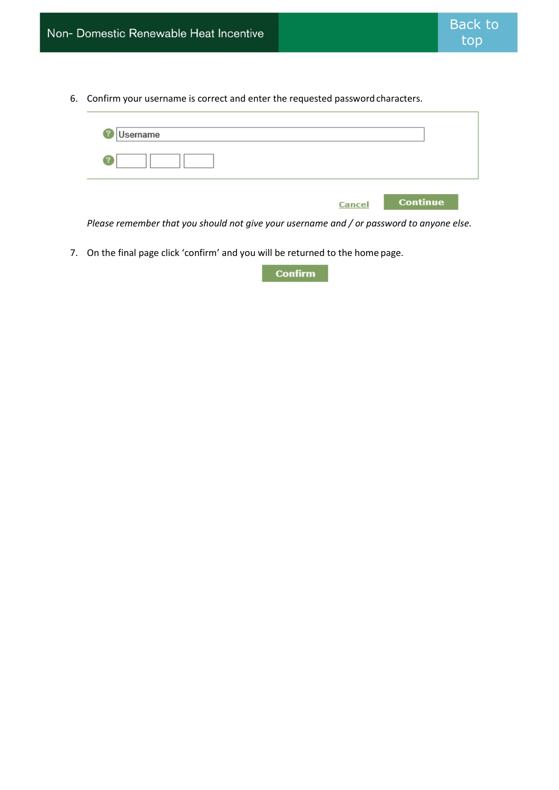6. Confirm your username is correct and enter the requested passwordcharacters.

| Username |                           |
|----------|---------------------------|
|          |                           |
|          | <b>Continue</b><br>Cancel |

*Please remember that you should not give your username and / or password to anyone else.*

7. On the final page click 'confirm' and you will be returned to the home page.

Confirm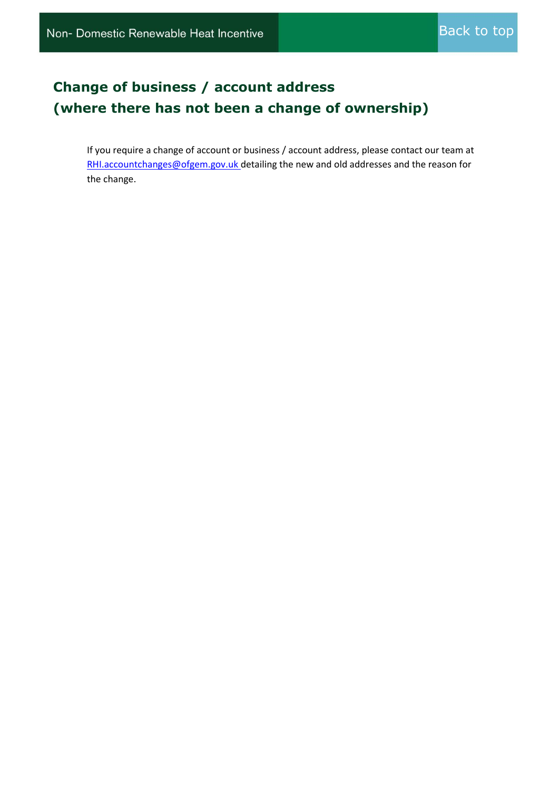### <span id="page-9-0"></span>**Change of business / account address (where there has not been a change of ownership)**

If you require a change of account or business / account address, please contact our team at RHI.accountchanges@ofgem.gov.uk detailing the new and old addresses and the reason for the change.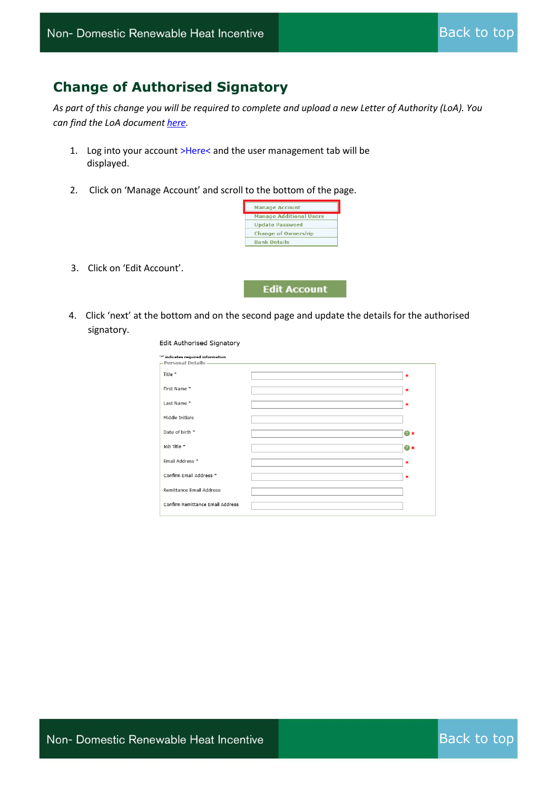#### <span id="page-10-0"></span>**Change of Authorised Signatory**

*As part of this change [you](https://www.ofgem.gov.uk/publications-and-updates/non-domestic-rhi-letter-authorisation) will be required to complete and upload a new Letter of Authority (LoA). You can find the LoA document here.*

- 1. Log into your account [>Here<](https://rhi.ofgem.gov.uk/) and the user management tab will be displayed.
- 2. Click on 'Manage Account' and scroll to the bottom of the page.



3. Click on 'Edit Account'.



4. Click 'next' at the bottom and on the second page and update the details for the authorised signatory.

| Edit Authorised Signatory                                |            |
|----------------------------------------------------------|------------|
| '*' indicates required information<br>Personal Details - |            |
| Title *                                                  | $\ast$     |
| First Name*                                              | $\ast$     |
| Last Name*                                               | $\ast$     |
| Middle Initials                                          |            |
| Date of birth *                                          | ? ∗        |
| Job Title *                                              | <b>O</b> * |
| Email Address *                                          | $\ast$     |
| Confirm Email Address *                                  | 米          |
| Remittance Email Address                                 |            |
| Confirm Remittance Email Address                         |            |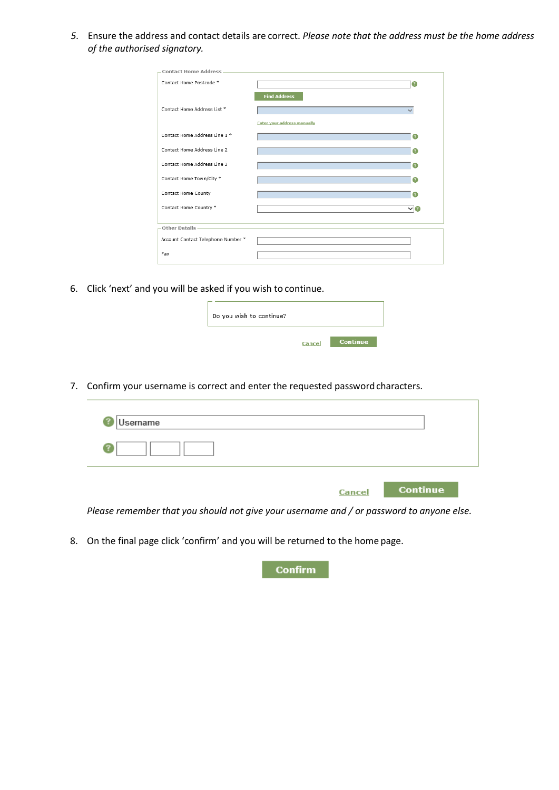*5.* Ensure the address and contact details are correct. *Please note that the address must be the home address of the authorised signatory.*

|                                    | $\left( 2\right)$ |
|------------------------------------|-------------------|
| <b>Find Address</b>                |                   |
|                                    | $\checkmark$      |
| <b>Enter your address manually</b> |                   |
|                                    | 2                 |
|                                    |                   |
|                                    |                   |
|                                    | 2                 |
|                                    | $\bullet$         |
|                                    | $\vee$ $\circ$    |
|                                    |                   |
|                                    |                   |
|                                    |                   |
|                                    |                   |
|                                    |                   |

6. Click 'next' and you will be asked if you wish to continue.

| Do you wish to continue? |        |                 |
|--------------------------|--------|-----------------|
|                          | Cancel | <b>Continue</b> |

7. Confirm your username is correct and enter the requested passwordcharacters.

| Username |        |                 |
|----------|--------|-----------------|
|          |        |                 |
|          | Cancel | <b>Continue</b> |

*Please remember that you should not give your username and / or password to anyone else.*

8. On the final page click 'confirm' and you will be returned to the home page.



Cancel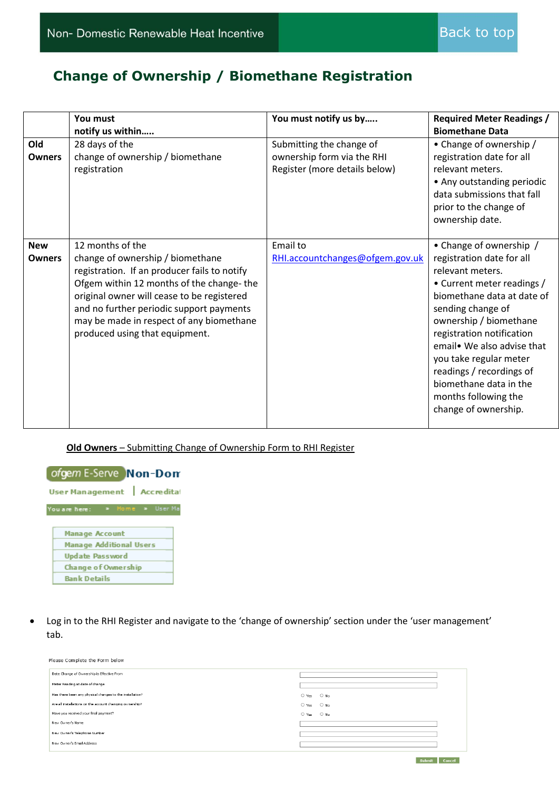### **Change of Ownership / Biomethane Registration**

<span id="page-12-0"></span>

|                             | You must<br>notify us within                                                                                                                                                                                                                                                                                             | You must notify us by                                                                   | <b>Required Meter Readings /</b><br><b>Biomethane Data</b>                                                                                                                                                                                                                                                                                                                     |
|-----------------------------|--------------------------------------------------------------------------------------------------------------------------------------------------------------------------------------------------------------------------------------------------------------------------------------------------------------------------|-----------------------------------------------------------------------------------------|--------------------------------------------------------------------------------------------------------------------------------------------------------------------------------------------------------------------------------------------------------------------------------------------------------------------------------------------------------------------------------|
| Old<br><b>Owners</b>        | 28 days of the<br>change of ownership / biomethane<br>registration                                                                                                                                                                                                                                                       | Submitting the change of<br>ownership form via the RHI<br>Register (more details below) | • Change of ownership /<br>registration date for all<br>relevant meters.<br>• Any outstanding periodic<br>data submissions that fall<br>prior to the change of<br>ownership date.                                                                                                                                                                                              |
| <b>New</b><br><b>Owners</b> | 12 months of the<br>change of ownership / biomethane<br>registration. If an producer fails to notify<br>Ofgem within 12 months of the change-the<br>original owner will cease to be registered<br>and no further periodic support payments<br>may be made in respect of any biomethane<br>produced using that equipment. | Email to<br>RHI.accountchanges@ofgem.gov.uk                                             | • Change of ownership /<br>registration date for all<br>relevant meters.<br>• Current meter readings /<br>biomethane data at date of<br>sending change of<br>ownership / biomethane<br>registration notification<br>email. We also advise that<br>you take regular meter<br>readings / recordings of<br>biomethane data in the<br>months following the<br>change of ownership. |

#### **Old Owners** – Submitting Change of Ownership Form to RHI Register



• Log in to the RHI Register and navigate to the 'change of ownership' section under the 'user management' tab.

| Please Complete the Form below                           |                                 |  |  |  |  |  |
|----------------------------------------------------------|---------------------------------|--|--|--|--|--|
| Date Change of Ownership is Effective From               |                                 |  |  |  |  |  |
| Meter Reading at date of change                          |                                 |  |  |  |  |  |
| Has there been any physical changes to the installation? | O Yes O No                      |  |  |  |  |  |
| Are all installations on the account changing ownership? | $\bigcirc$ No<br>$\bigcirc$ Yes |  |  |  |  |  |
| Have you received your final payment?                    | $O$ No<br>$O$ Yes               |  |  |  |  |  |
| New Owners Name                                          |                                 |  |  |  |  |  |
| New Owner's Telephone Number                             |                                 |  |  |  |  |  |
| New Owner's Email Address                                |                                 |  |  |  |  |  |
|                                                          |                                 |  |  |  |  |  |

Submit Cancel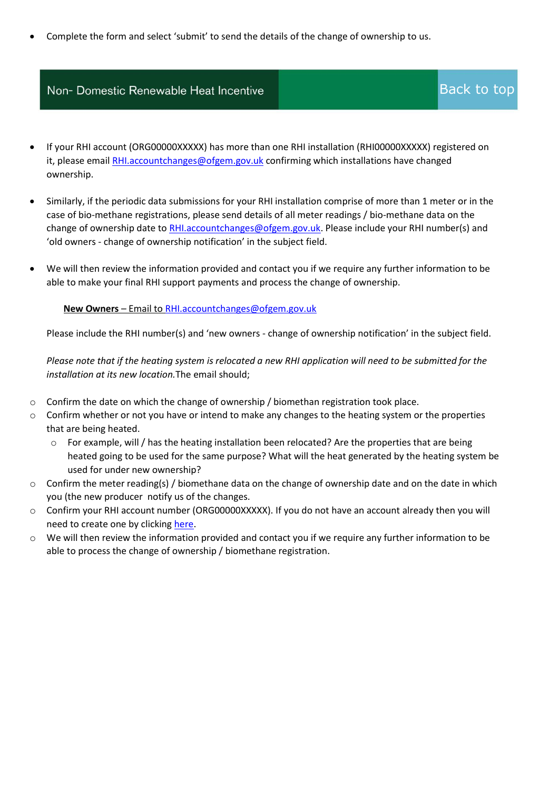• Complete the form and select 'submit' to send the details of the change of ownership to us.

#### Non- Domestic Renewable Heat Incentive

- If your RHI account (ORG00000XXXXX) has more than one RHI installation (RHI00000XXXXX) registered on it, please emai[l RHI.accountchanges@ofgem.gov.uk](mailto:RHI.accountchanges@ofgem.gov.uk) confirming which installations have changed ownership.
- Similarly, if the periodic data submissions for your RHI installation comprise of more than 1 meter or in the case of bio-methane registrations, please send details of all meter readings / bio-methane data on the change of ownership date to [RHI.accountchanges@ofgem.gov.uk.](mailto:RHI.accountchanges@ofgem.gov.uk) Please include your RHI number(s) and 'old owners - change of ownership notification' in the subject field.
- We will then review the information provided and contact you if we require any further information to be able to make your final RHI support payments and process the change of ownership.

#### **New Owners** – Email to [RHI.accountchanges@ofgem.gov.uk](mailto:RHI.accountchanges@ofgem.gov.uk)

Please include the RHI number(s) and 'new owners - change of ownership notification' in the subject field.

*Please note that if the heating system is relocated a new RHI application will need to be submitted for the installation at its new location.*The email should;

- $\circ$  Confirm the date on which the change of ownership / biomethan registration took place.
- $\circ$  Confirm whether or not you have or intend to make any changes to the heating system or the properties that are being heated.
	- $\circ$  For example, will / has the heating installation been relocated? Are the properties that are being heated going to be used for the same purpose? What will the heat generated by the heating system be used for under new ownership?
- $\circ$  Confirm the meter reading(s) / biomethane data on the change of ownership date and on the date in which you (the new producer notify us of the changes.
- o Confirm your RHI account number (ORG00000XXXXX). If you do not have an account already then you will need to create one by clickin[g here.](https://rhi.ofgem.gov.uk/Public/Registration.aspx?id=1)
- o We will then review the information provided and contact you if we require any further information to be able to process the change of ownership / biomethane registration.

### [Back to top](#page-0-0)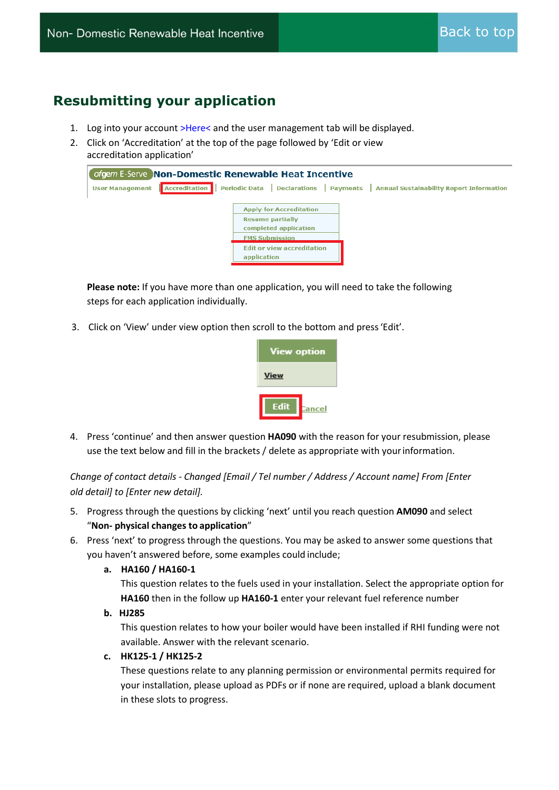### <span id="page-14-0"></span>**Resubmitting your application**

- 1. Log into your account [>Here<](https://rhi.ofgem.gov.uk/) and the user management tab will be displayed.
- 2. Click on 'Accreditation' at the top of the page followed by 'Edit or view accreditation application'

| ofgem E-Serve Non-Domestic Renewable Heat Incentive |                                                                                                                                                                 |  |  |  |  |  |  |
|-----------------------------------------------------|-----------------------------------------------------------------------------------------------------------------------------------------------------------------|--|--|--|--|--|--|
| <b>User Management</b>                              | Accreditation Periodic Data Declarations Payments Annual Sustainability Report Information                                                                      |  |  |  |  |  |  |
|                                                     | <b>Apply for Accreditation</b><br><b>Resume partially</b><br>completed application<br><b>FMS Submission</b><br><b>Edit or view accreditation</b><br>application |  |  |  |  |  |  |

**Please note:** If you have more than one application, you will need to take the following steps for each application individually.

3. Click on 'View' under view option then scroll to the bottom and press'Edit'.



4. Press 'continue' and then answer question **HA090** with the reason for your resubmission, please use the text below and fill in the brackets / delete as appropriate with yourinformation.

*Change of contact details - Changed [Email / Tel number / Address / Account name] From [Enter old detail] to [Enter new detail].*

- 5. Progress through the questions by clicking 'next' until you reach question **AM090** and select "**Non- physical changes to application**"
- 6. Press 'next' to progress through the questions. You may be asked to answer some questions that you haven't answered before, some examples could include;

#### **a. HA160 / HA160-1**

This question relates to the fuels used in your installation. Select the appropriate option for **HA160** then in the follow up **HA160-1** enter your relevant fuel reference number

#### **b. HJ285**

This question relates to how your boiler would have been installed if RHI funding were not available. Answer with the relevant scenario.

#### **c. HK125-1 / HK125-2**

These questions relate to any planning permission or environmental permits required for your installation, please upload as PDFs or if none are required, upload a blank document in these slots to progress.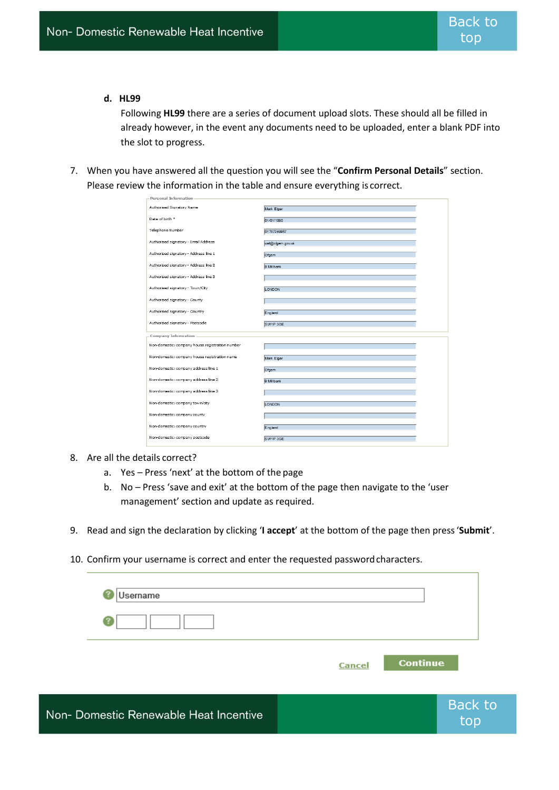#### **d. HL99**

Following **HL99** there are a series of document upload slots. These should all be filled in already however, in the event any documents need to be uploaded, enter a blank PDF into the slot to progress.

7. When you have answered all the question you will see the "**Confirm Personal Details**" section. Please review the information in the table and ensure everything is correct.

| Personal Information                            |                  |
|-------------------------------------------------|------------------|
| Authorised Signatory Name                       | Mark Elgar       |
| Date of birth *                                 | 01/01/1990       |
| Telephone Number                                | 01787249957      |
| Authorised signatory - Email Address            | ust@ofgem.gov.uk |
| Authorised signatory - Address line 1           | Ofgem            |
| Authorised signatory - Address line 2           | 9 Millbank       |
| Authorised signatory - Address line 3           |                  |
| Authorised signatory - Town/City                | LONDON           |
| Authorised signatory - County                   |                  |
| Authorised signatory - Country                  | England          |
| Authorised signatory - Postcode                 | SW1P 3GE         |
| Company Information                             |                  |
| Non-domestic: company house registration number |                  |
| Non-domestic: company house registration name   | Mark Elgar       |
| Non-domestic: company address line 1            | Ofgem            |
| Non-domestic: company address line 2            | 9 Millbank       |
|                                                 |                  |
| Non-domestic: company address line 3            |                  |
| Non-domestic: company town/city                 | LONDON           |
| Non-domestic: company county                    |                  |
| Non-domestic: company country                   | England          |
| Non-domestic: company postcode                  | SW1P3GE          |

8. Are all the details correct?

Non-

- a. Yes Press 'next' at the bottom of the page
- b. No Press 'save and exit' at the bottom of the page then navigate to the 'user management' section and update as required.
- 9. Read and sign the declaration by clicking '**I accept**' at the bottom of the page then press'**Submit**'.
- 10. Confirm your username is correct and enter the requested passwordcharacters.

| Username                          |        |                 |                       |
|-----------------------------------|--------|-----------------|-----------------------|
|                                   |        |                 |                       |
|                                   | Cancel | <b>Continue</b> |                       |
| Domestic Renewable Heat Incentive |        |                 | <b>Back to</b><br>top |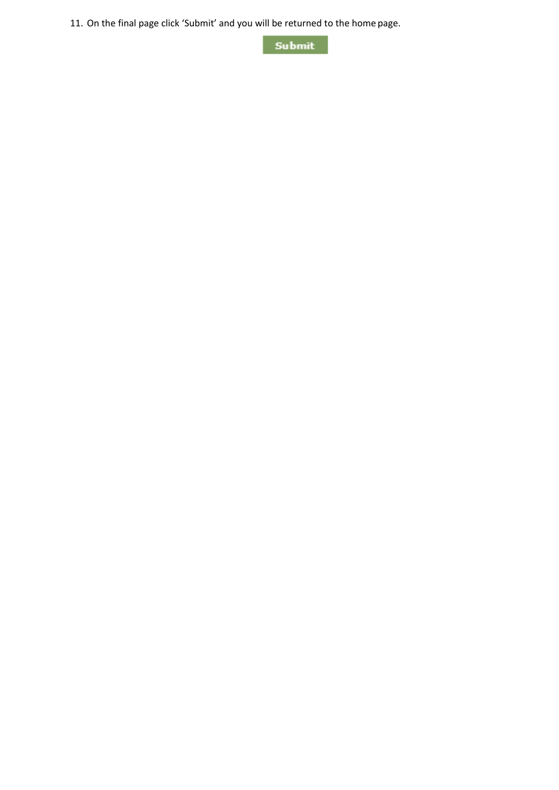11. On the final page click 'Submit' and you will be returned to the home page.

Submit